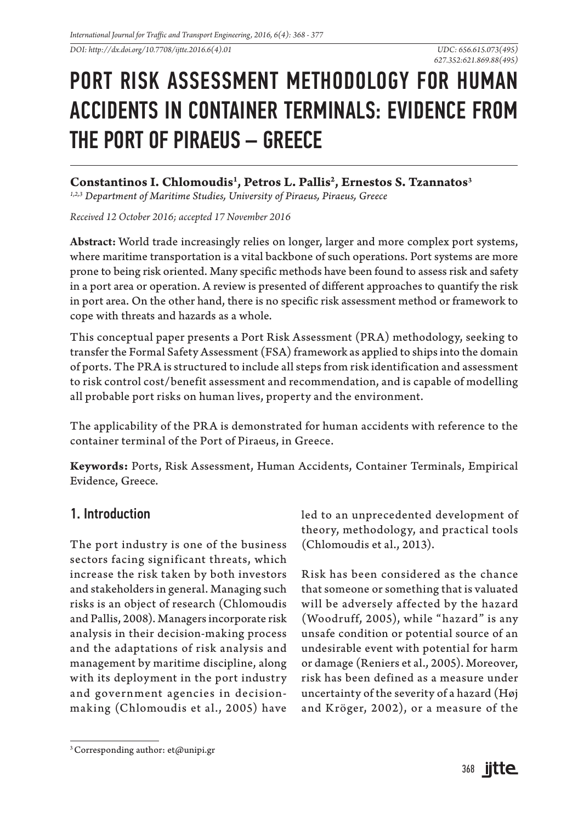*DOI: http://dx.doi.org/10.7708/ijtte.2016.6(4).01*

# PORT RISK ASSESSMENT METHODOLOGY FOR HUMAN ACCIDENTS IN CONTAINER TERMINALS: EVIDENCE FROM THE PORT OF PIRAEUS – GREECE

## **Constantinos I. Chlomoudis1 , Petros L. Pallis2 , Ernestos S. Tzannatos3**

*1,2,3 Department of Maritime Studies, University of Piraeus, Piraeus, Greece*

*Received 12 October 2016; accepted 17 November 2016*

**Abstract:** World trade increasingly relies on longer, larger and more complex port systems, where maritime transportation is a vital backbone of such operations. Port systems are more prone to being risk oriented. Many specific methods have been found to assess risk and safety in a port area or operation. A review is presented of different approaches to quantify the risk in port area. On the other hand, there is no specific risk assessment method or framework to cope with threats and hazards as a whole.

This conceptual paper presents a Port Risk Assessment (PRA) methodology, seeking to transfer the Formal Safety Assessment (FSA) framework as applied to ships into the domain of ports. The PRA is structured to include all steps from risk identification and assessment to risk control cost/benefit assessment and recommendation, and is capable of modelling all probable port risks on human lives, property and the environment.

The applicability of the PRA is demonstrated for human accidents with reference to the container terminal of the Port of Piraeus, in Greece.

**Keywords:** Ports, Risk Assessment, Human Accidents, Container Terminals, Empirical Evidence, Greece.

## 1. Introduction

The port industry is one of the business sectors facing significant threats, which increase the risk taken by both investors and stakeholders in general. Managing such risks is an object of research (Chlomoudis and Pallis, 2008). Managers incorporate risk analysis in their decision-making process and the adaptations of risk analysis and management by maritime discipline, along with its deployment in the port industry and government agencies in decisionmaking (Chlomoudis et al., 2005) have

led to an unprecedented development of theory, methodology, and practical tools (Chlomoudis et al., 2013).

Risk has been considered as the chance that someone or something that is valuated will be adversely affected by the hazard (Woodruff, 2005), while "hazard" is any unsafe condition or potential source of an undesirable event with potential for harm or damage (Reniers et al., 2005). Moreover, risk has been defined as a measure under uncertainty of the severity of a hazard (Høj and Kröger, 2002), or a measure of the

 $3$  Corresponding author: et@unipi.gr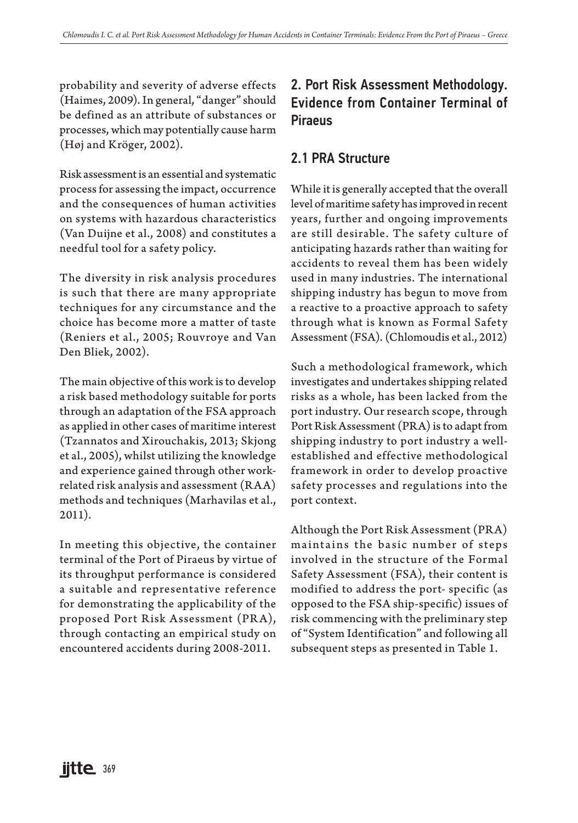probability and severity of adverse effects (Haimes, 2009). In general, "danger" should be defined as an attribute of substances or processes, which may potentially cause harm (Høj and Kröger, 2002).

Risk assessment is an essential and systematic process for assessing the impact, occurrence and the consequences of human activities on systems with hazardous characteristics (Van Duijne et al., 2008) and constitutes a needful tool for a safety policy.

The diversity in risk analysis procedures is such that there are many appropriate techniques for any circumstance and the choice has become more a matter of taste (Reniers et al., 2005; Rouvroye and Van Den Bliek, 2002).

The main objective of this work is to develop a risk based methodology suitable for ports through an adaptation of the FSA approach as applied in other cases of maritime interest (Tzannatos and Xirouchakis, 2013; Skjong et al., 2005), whilst utilizing the knowledge and experience gained through other workrelated risk analysis and assessment (RAA) methods and techniques (Marhavilas et al., 2011).

In meeting this objective, the container terminal of the Port of Piraeus by virtue of its throughput performance is considered a suitable and representative reference for demonstrating the applicability of the proposed Port Risk Assessment (PRA), through contacting an empirical study on encountered accidents during 2008-2011.

# 2. Port Risk Assessment Methodology. Evidence from Container Terminal of Piraeus

## 2.1 PRA Structure

While it is generally accepted that the overall level of maritime safety has improved in recent years, further and ongoing improvements are still desirable. The safety culture of anticipating hazards rather than waiting for accidents to reveal them has been widely used in many industries. The international shipping industry has begun to move from a reactive to a proactive approach to safety through what is known as Formal Safety Assessment (FSA). (Chlomoudis et al., 2012)

Such a methodological framework, which investigates and undertakes shipping related risks as a whole, has been lacked from the port industry. Our research scope, through Port Risk Assessment (PRA) is to adapt from shipping industry to port industry a wellestablished and effective methodological framework in order to develop proactive safety processes and regulations into the port context.

Although the Port Risk Assessment (PRA) maintains the basic number of steps involved in the structure of the Formal Safety Assessment (FSA), their content is modified to address the port- specific (as opposed to the FSA ship-specific) issues of risk commencing with the preliminary step of "System Identification" and following all subsequent steps as presented in Table 1.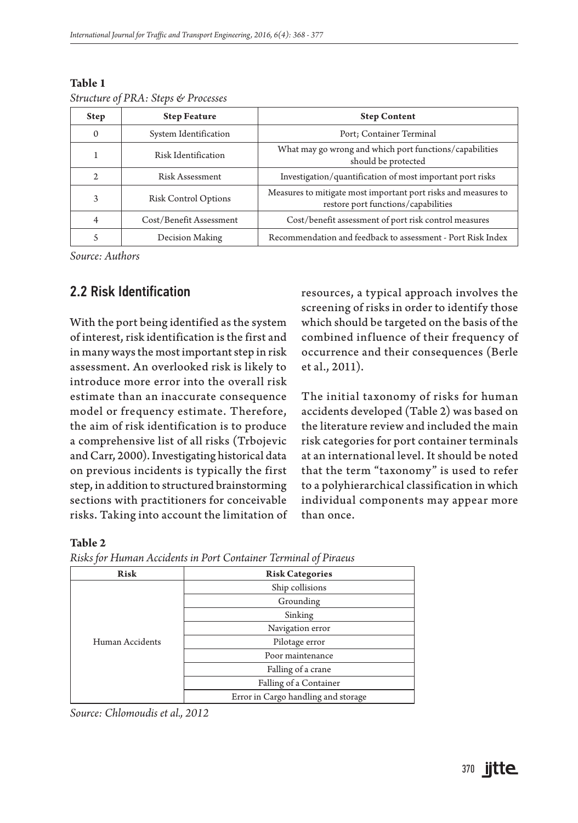| <b>Step</b>  | <b>Step Feature</b>         | <b>Step Content</b>                                                                                   |
|--------------|-----------------------------|-------------------------------------------------------------------------------------------------------|
| $\mathbf{0}$ | System Identification       | Port; Container Terminal                                                                              |
| ı            | Risk Identification         | What may go wrong and which port functions/capabilities<br>should be protected                        |
| 2            | Risk Assessment             | Investigation/quantification of most important port risks                                             |
| 3            | <b>Risk Control Options</b> | Measures to mitigate most important port risks and measures to<br>restore port functions/capabilities |
| 4            | Cost/Benefit Assessment     | Cost/benefit assessment of port risk control measures                                                 |
| 5            | Decision Making             | Recommendation and feedback to assessment - Port Risk Index                                           |

#### **Table 1**  *Structure of PRA: Steps & Processes*

*Source: Authors*

## 2.2 Risk Identification

With the port being identified as the system of interest, risk identification is the first and in many ways the most important step in risk assessment. An overlooked risk is likely to introduce more error into the overall risk estimate than an inaccurate consequence model or frequency estimate. Therefore, the aim of risk identification is to produce a comprehensive list of all risks (Trbojevic and Carr, 2000). Investigating historical data on previous incidents is typically the first step, in addition to structured brainstorming sections with practitioners for conceivable risks. Taking into account the limitation of resources, a typical approach involves the screening of risks in order to identify those which should be targeted on the basis of the combined influence of their frequency of occurrence and their consequences (Berle et al., 2011).

The initial taxonomy of risks for human accidents developed (Table 2) was based on the literature review and included the main risk categories for port container terminals at an international level. It should be noted that the term "taxonomy" is used to refer to a polyhierarchical classification in which individual components may appear more than once.

#### **Table 2**

| Risk            | <b>Risk Categories</b>              |
|-----------------|-------------------------------------|
|                 | Ship collisions                     |
|                 | Grounding                           |
|                 | Sinking                             |
|                 | Navigation error                    |
| Human Accidents | Pilotage error                      |
|                 | Poor maintenance                    |
|                 | Falling of a crane                  |
|                 | Falling of a Container              |
|                 | Error in Cargo handling and storage |

*Risks for Human Accidents in Port Container Terminal of Piraeus*

*Source: Chlomoudis et al., 2012*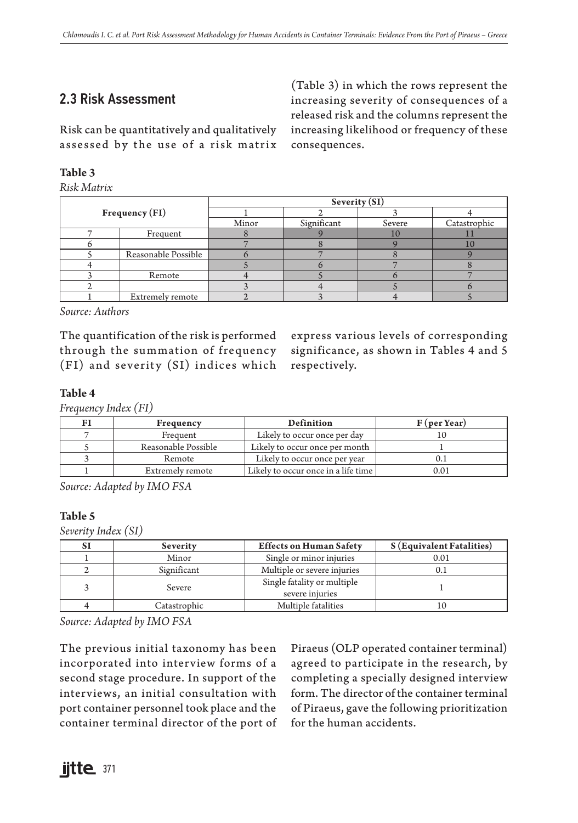# 2.3 Risk Assessment

(Table 3) in which the rows represent the increasing severity of consequences of a released risk and the columns represent the increasing likelihood or frequency of these consequences.

Risk can be quantitatively and qualitatively assessed by the use of a risk matrix

#### **Table 3**

*Risk Matrix*

|                     |       | Severity (SI) |        |              |  |  |
|---------------------|-------|---------------|--------|--------------|--|--|
| Frequency(FI)       |       |               |        |              |  |  |
|                     | Minor | Significant   | Severe | Catastrophic |  |  |
| Frequent            |       |               | ΙU     |              |  |  |
|                     |       |               |        |              |  |  |
| Reasonable Possible |       |               |        |              |  |  |
|                     |       |               |        |              |  |  |
| Remote              |       |               |        |              |  |  |
|                     |       |               |        |              |  |  |
| Extremely remote    |       |               |        |              |  |  |

*Source: Authors*

The quantification of the risk is performed through the summation of frequency  $(FI)$  and severity  $(SI)$  indices which

express various levels of corresponding significance, as shown in Tables 4 and 5 respectively.

#### **Table 4**

*Frequency Index (FI)*

| FI | Frequency           | Definition                          | $F$ (per Year) |
|----|---------------------|-------------------------------------|----------------|
|    | Frequent            | Likely to occur once per day        |                |
|    | Reasonable Possible | Likely to occur once per month      |                |
|    | Remote              | Likely to occur once per year       |                |
|    | Extremely remote    | Likely to occur once in a life time | 0.01           |

*Source: Adapted by IMO FSA*

#### **Table 5**

*Severity Index (SI)*

| SI | Severity     | <b>Effects on Human Safety</b>                 | <b>S</b> (Equivalent Fatalities) |
|----|--------------|------------------------------------------------|----------------------------------|
|    | Minor        | Single or minor injuries                       | 0.01                             |
|    | Significant  | Multiple or severe injuries                    |                                  |
|    | Severe       | Single fatality or multiple<br>severe injuries |                                  |
|    | Catastrophic | Multiple fatalities                            |                                  |

*Source: Adapted by IMO FSA*

The previous initial taxonomy has been incorporated into interview forms of a second stage procedure. In support of the interviews, an initial consultation with port container personnel took place and the container terminal director of the port of Piraeus (OLP operated container terminal) agreed to participate in the research, by completing a specially designed interview form. The director of the container terminal of Piraeus, gave the following prioritization for the human accidents.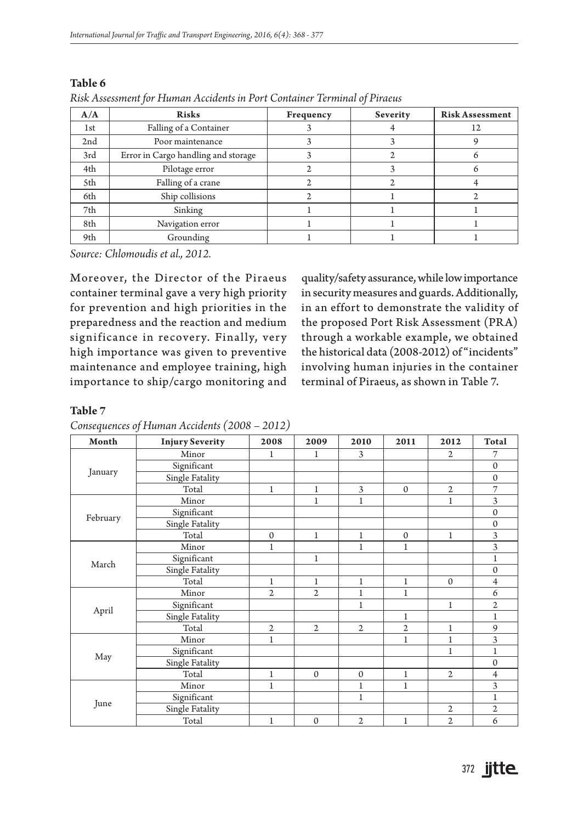|     | $\cdot$                             |           | ╯        |                        |
|-----|-------------------------------------|-----------|----------|------------------------|
| A/A | <b>Risks</b>                        | Frequency | Severity | <b>Risk Assessment</b> |
| 1st | Falling of a Container              |           |          | 12                     |
| 2nd | Poor maintenance                    |           |          |                        |
| 3rd | Error in Cargo handling and storage |           |          |                        |
| 4th | Pilotage error                      |           |          |                        |
| 5th | Falling of a crane                  |           |          |                        |
| 6th | Ship collisions                     |           |          |                        |
| 7th | Sinking                             |           |          |                        |
| 8th | Navigation error                    |           |          |                        |
| 9th | Grounding                           |           |          |                        |

#### **Table 6**

*Risk Assessment for Human Accidents in Port Container Terminal of Piraeus*

*Source: Chlomoudis et al., 2012.*

Moreover, the Director of the Piraeus container terminal gave a very high priority for prevention and high priorities in the preparedness and the reaction and medium significance in recovery. Finally, very high importance was given to preventive maintenance and employee training, high importance to ship/cargo monitoring and

quality/safety assurance, while low importance in security measures and guards. Additionally, in an effort to demonstrate the validity of the proposed Port Risk Assessment (PRA) through a workable example, we obtained the historical data (2008-2012) of "incidents" involving human injuries in the container terminal of Piraeus, as shown in Table 7.

#### **Table 7**

*Consequences of Human Accidents (2008 – 2012)*

| Month    | <b>Injury Severity</b> | 2008           | 2009           | 2010           | 2011           | 2012           | Total          |
|----------|------------------------|----------------|----------------|----------------|----------------|----------------|----------------|
|          | Minor                  | $\mathbf{1}$   | $\mathbf{1}$   | 3              |                | $\overline{2}$ | 7              |
|          | Significant            |                |                |                |                |                | $\mathbf{0}$   |
| January  | Single Fatality        |                |                |                |                |                | $\mathbf{0}$   |
|          | Total                  | $\mathbf{1}$   | $\mathbf{1}$   | 3              | $\mathbf{0}$   | $\mathfrak{2}$ | $\overline{7}$ |
|          | Minor                  |                | $\mathbf{1}$   | $\mathbf{1}$   |                | $\mathbf{1}$   | 3              |
|          | Significant            |                |                |                |                |                | $\mathbf{0}$   |
| February | Single Fatality        |                |                |                |                |                | $\mathbf{0}$   |
|          | Total                  | $\mathbf{0}$   | $\mathbf{1}$   | $\mathbf{1}$   | $\mathbf{0}$   | $\mathbf{1}$   | 3              |
|          | Minor                  | $\mathbf{1}$   |                | $\mathbf{1}$   | $\mathbf{1}$   |                | 3              |
| March    | Significant            |                | $\mathbf 1$    |                |                |                | 1              |
|          | Single Fatality        |                |                |                |                |                | $\mathbf{0}$   |
|          | Total                  | $\mathbf{1}$   | $\mathbf{1}$   | $\mathbf{1}$   | $\mathbf{1}$   | $\mathbf{0}$   | $\overline{4}$ |
|          | Minor                  | $\overline{2}$ | $\overline{2}$ | $\mathbf{1}$   | $\mathbf{1}$   |                | 6              |
| April    | Significant            |                |                | $\mathbf{1}$   |                | $\mathbf{1}$   | $\mathbf{2}$   |
|          | Single Fatality        |                |                |                | $\mathbf{1}$   |                | $\mathbf{1}$   |
|          | Total                  | $\overline{2}$ | $\mathfrak{2}$ | $\mathfrak{2}$ | $\overline{2}$ | $\mathbf{1}$   | 9              |
|          | Minor                  | $\mathbf{1}$   |                |                | $\mathbf{1}$   | $\mathbf{1}$   | 3              |
|          | Significant            |                |                |                |                | $\mathbf{1}$   | $\mathbf 1$    |
| May      | Single Fatality        |                |                |                |                |                | $\mathbf{0}$   |
|          | Total                  | $\mathbf{1}$   | $\mathbf{0}$   | $\mathbf{0}$   | $\mathbf{1}$   | $\overline{2}$ | $\overline{4}$ |
|          | Minor                  | $\mathbf{1}$   |                | $\mathbf{1}$   | $\mathbf{1}$   |                | 3              |
|          | Significant            |                |                | $1\,$          |                |                | $\mathbf{1}$   |
| June     | Single Fatality        |                |                |                |                | $\overline{2}$ | $\mathbf{2}$   |
|          | Total                  | $\mathbf{1}$   | $\mathbf{0}$   | $\overline{2}$ | $\mathbf{1}$   | $\overline{2}$ | 6              |

372 **jitte**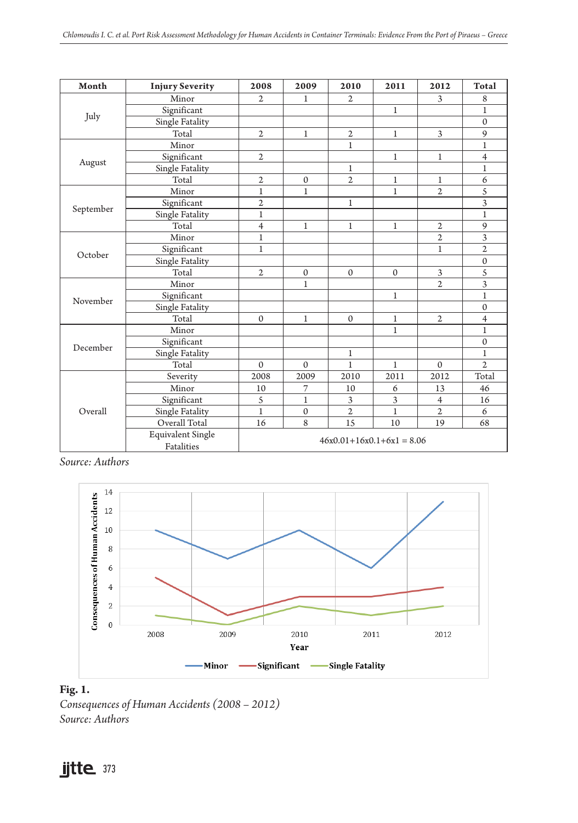| Month     | <b>Injury Severity</b>                 | 2008                        | 2009         | 2010<br>2011   |              | 2012           | Total          |
|-----------|----------------------------------------|-----------------------------|--------------|----------------|--------------|----------------|----------------|
|           | Minor                                  | $\mathfrak{D}$              | $\mathbf{1}$ | $\mathbf{2}$   |              | 3              | 8              |
|           | Significant                            |                             |              |                | $1\,$        |                | $\mathbf{1}$   |
| July      | Single Fatality                        |                             |              |                |              |                | $\Omega$       |
|           | Total                                  | $\overline{2}$              | $\mathbf{1}$ | $\mathfrak 2$  | $\mathbf{1}$ | 3              | 9              |
|           | Minor                                  |                             |              | 1              |              |                | $\mathbf{1}$   |
|           | Significant                            | $\mathfrak{2}$              |              |                | $\mathbf{1}$ | $\mathbf{1}$   | $\overline{4}$ |
| August    | Single Fatality                        |                             |              | $\mathbf{1}$   |              |                | $\mathbf{1}$   |
|           | Total                                  | 2                           | $\mathbf 0$  | $\overline{2}$ | $\mathbf 1$  | 1              | 6              |
|           | Minor                                  | $\mathbf{1}$                | $\mathbf{1}$ |                | $\mathbf{1}$ | $\overline{2}$ | 5              |
|           | Significant                            | $\overline{c}$              |              | $\mathbf{1}$   |              |                | 3              |
| September | Single Fatality                        | $\mathbf{1}$                |              |                |              |                | 1              |
|           | Total                                  | $\overline{4}$              | $\mathbf{1}$ | $\mathbf{1}$   | $\mathbf{1}$ | $\overline{2}$ | 9              |
|           | Minor                                  | $\mathbf{1}$                |              |                |              | $\overline{2}$ | 3              |
| October   | Significant                            | $\mathbf{1}$                |              |                |              | $\mathbf{1}$   | $\overline{2}$ |
|           | Single Fatality                        |                             |              |                |              |                | $\mathbf{0}$   |
|           | Total                                  | $\mathfrak{2}$              | $\mathbf{0}$ | $\Omega$       | $\Omega$     | 3              | 5              |
|           | Minor                                  |                             | $\mathbf{1}$ |                |              | $\overline{2}$ | 3              |
| November  | Significant                            |                             |              |                | $\mathbf{1}$ |                | $\mathbf{1}$   |
|           | Single Fatality                        |                             |              |                |              |                | $\Omega$       |
|           | Total                                  | $\Omega$                    | $\mathbf{1}$ | $\mathbf{0}$   | $\mathbf 1$  | $\overline{2}$ | 4              |
|           | Minor                                  |                             |              |                | $\mathbf{1}$ |                | $\mathbf{1}$   |
| December  | Significant                            |                             |              |                |              |                | $\Omega$       |
|           | Single Fatality                        |                             |              | $\mathbf{1}$   |              |                | $\mathbf{1}$   |
|           | Total                                  | $\Omega$                    | $\Omega$     | $\mathbf{1}$   | $\mathbf{1}$ | $\Omega$       | $\mathfrak{2}$ |
|           | Severity                               | 2008                        | 2009         | 2010           | 2011         | 2012           | Total          |
|           | Minor                                  | 10                          | 7            | 10             | 6            | 13             | 46             |
|           | Significant                            | 5                           | $\mathbf{1}$ | 3              | 3            | $\overline{4}$ | 16             |
| Overall   | Single Fatality                        | $\mathbf{1}$                | $\mathbf{0}$ | $\overline{2}$ | $\mathbf{1}$ | $\overline{2}$ | 6              |
|           | Overall Total                          | 16                          | 8            | 15             | 10           | 19             | 68             |
|           | <b>Equivalent Single</b><br>Fatalities | $46x0.01+16x0.1+6x1 = 8.06$ |              |                |              |                |                |

*Source: Authors*



## **Fig. 1.**

*Consequences of Human Accidents (2008 – 2012) Source: Authors*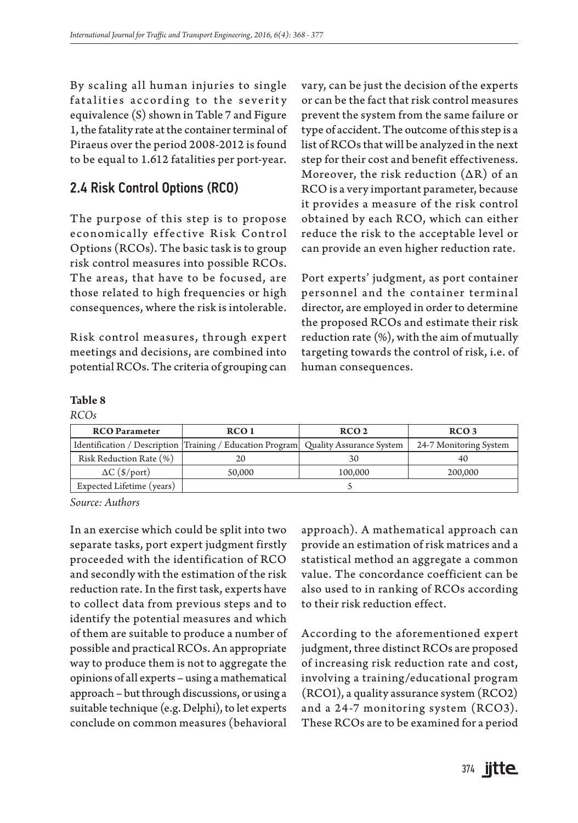By scaling all human injuries to single fatalities according to the severity equivalence (S) shown in Table 7 and Figure 1, the fatality rate at the container terminal of Piraeus over the period 2008-2012 is found to be equal to 1.612 fatalities per port-year.

## 2.4 Risk Control Options (RCO)

The purpose of this step is to propose economically effective Risk Control Options (RCOs). The basic task is to group risk control measures into possible RCOs. The areas, that have to be focused, are those related to high frequencies or high consequences, where the risk is intolerable.

Risk control measures, through expert meetings and decisions, are combined into potential RCOs. The criteria of grouping can

vary, can be just the decision of the experts or can be the fact that risk control measures prevent the system from the same failure or type of accident. The outcome of this step is a list of RCOs that will be analyzed in the next step for their cost and benefit effectiveness. Moreover, the risk reduction  $(AR)$  of an RCO is a very important parameter, because it provides a measure of the risk control obtained by each RCO, which can either reduce the risk to the acceptable level or can provide an even higher reduction rate.

Port experts' judgment, as port container personnel and the container terminal director, are employed in order to determine the proposed RCOs and estimate their risk reduction rate (%), with the aim of mutually targeting towards the control of risk, i.e. of human consequences.

#### **Table 8**

| <b>RCO</b> Parameter      | RCO 1                                                                                | RCO <sub>2</sub> | RCO <sub>3</sub>       |
|---------------------------|--------------------------------------------------------------------------------------|------------------|------------------------|
|                           | Identification / Description Training / Education Program   Quality Assurance System |                  | 24-7 Monitoring System |
| Risk Reduction Rate (%)   | 20                                                                                   | 30               | 40                     |
| $\Delta C$ (\$/port)      | 50,000                                                                               | 100,000          | 200,000                |
| Expected Lifetime (years) |                                                                                      |                  |                        |

*Source: Authors*

In an exercise which could be split into two separate tasks, port expert judgment firstly proceeded with the identification of RCO and secondly with the estimation of the risk reduction rate. In the first task, experts have to collect data from previous steps and to identify the potential measures and which of them are suitable to produce a number of possible and practical RCOs. An appropriate way to produce them is not to aggregate the opinions of all experts – using a mathematical approach – but through discussions, or using a suitable technique (e.g. Delphi), to let experts conclude on common measures (behavioral

approach). A mathematical approach can provide an estimation of risk matrices and a statistical method an aggregate a common value. The concordance coefficient can be also used to in ranking of RCOs according to their risk reduction effect.

According to the aforementioned expert judgment, three distinct RCOs are proposed of increasing risk reduction rate and cost, involving a training/educational program (RCO1), a quality assurance system (RCO2) and a 24-7 monitoring system (RCO3). These RCOs are to be examined for a period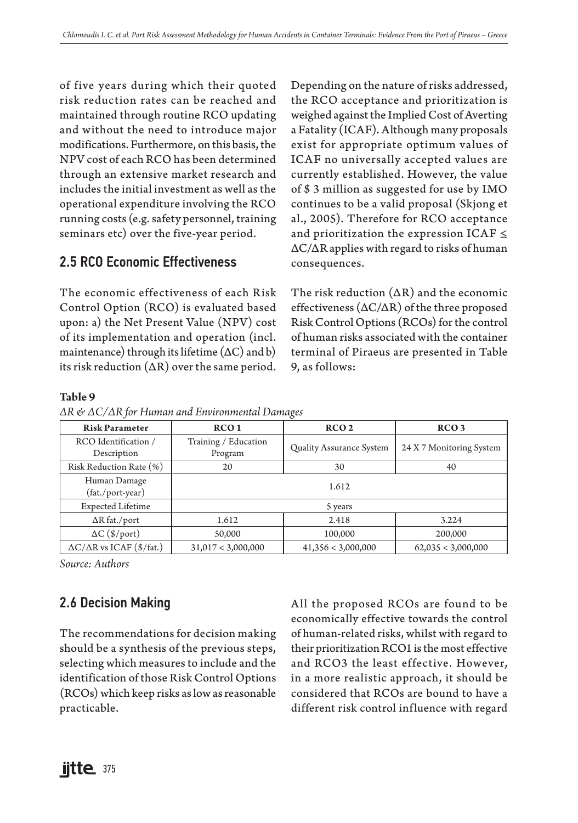of five years during which their quoted risk reduction rates can be reached and maintained through routine RCO updating and without the need to introduce major modifications. Furthermore, on this basis, the NPV cost of each RCO has been determined through an extensive market research and includes the initial investment as well as the operational expenditure involving the RCO running costs (e.g. safety personnel, training seminars etc) over the five-year period.

# 2.5 RCO Economic Effectiveness

The economic effectiveness of each Risk Control Option (RCO) is evaluated based upon: a) the Net Present Value (NPV) cost of its implementation and operation (incl. maintenance) through its lifetime  $(AC)$  and b) its risk reduction  $( \Delta R)$  over the same period. Depending on the nature of risks addressed, the RCO acceptance and prioritization is weighed against the Implied Cost of Averting a Fatality (ICAF). Although many proposals exist for appropriate optimum values of ICAF no universally accepted values are currently established. However, the value of \$ 3 million as suggested for use by IMO continues to be a valid proposal (Skjong et al., 2005). Therefore for RCO acceptance and prioritization the expression ICAF ≤ ΔC/ΔR applies with regard to risks of human consequences.

The risk reduction  $( \Delta R)$  and the economic effectiveness (ΔC/ΔR) of the three proposed Risk Control Options (RCOs) for the control of human risks associated with the container terminal of Piraeus are presented in Table 9, as follows:

#### **Table 9**

|  |  |  |  | $\Delta R$ & $\Delta C/\Delta R$ for Human and Environmental Damages |
|--|--|--|--|----------------------------------------------------------------------|
|--|--|--|--|----------------------------------------------------------------------|

| <b>Risk Parameter</b>                 | RCO <sub>1</sub>                | RCO <sub>2</sub>         | RCO <sub>3</sub>   |  |  |
|---------------------------------------|---------------------------------|--------------------------|--------------------|--|--|
| RCO Identification /<br>Description   | Training / Education<br>Program | 24 X 7 Monitoring System |                    |  |  |
| Risk Reduction Rate (%)               | 20                              | 40                       |                    |  |  |
| Human Damage<br>(fat./port-year)      | 1.612                           |                          |                    |  |  |
| <b>Expected Lifetime</b>              | 5 years                         |                          |                    |  |  |
| $\Delta R$ fat./port                  | 1.612<br>2.418<br>3.224         |                          |                    |  |  |
| $\Delta C$ (\$/port)                  | 50,000                          | 100,000                  | 200,000            |  |  |
| $\Delta C/\Delta R$ vs ICAF (\$/fat.) | 31,017 < 3,000,000              | 41,356 < 3,000,000       | 62,035 < 3,000,000 |  |  |

*Source: Authors*

# 2.6 Decision Making

The recommendations for decision making should be a synthesis of the previous steps, selecting which measures to include and the identification of those Risk Control Options (RCOs) which keep risks as low as reasonable practicable.

All the proposed RCOs are found to be economically effective towards the control of human-related risks, whilst with regard to their prioritization RCO1 is the most effective and RCO3 the least effective. However, in a more realistic approach, it should be considered that RCOs are bound to have a different risk control influence with regard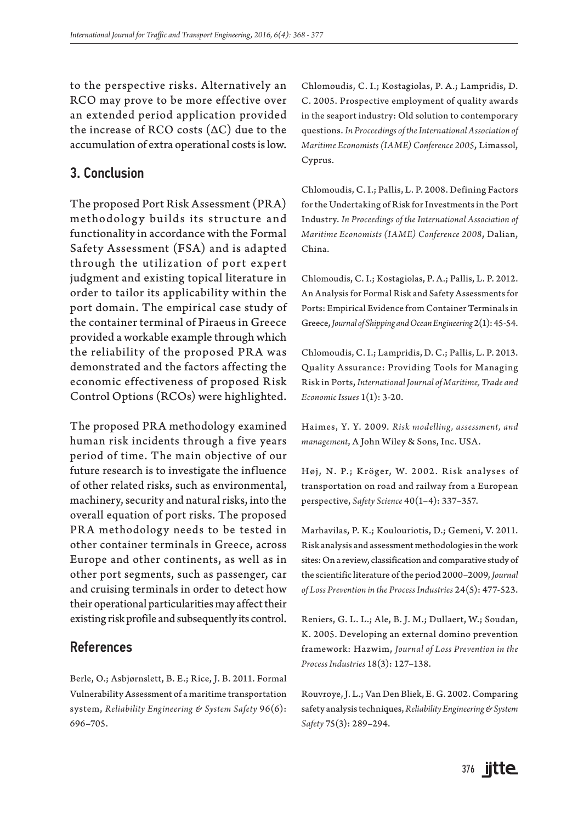to the perspective risks. Alternatively an RCO may prove to be more effective over an extended period application provided the increase of RCO costs (ΔC) due to the accumulation of extra operational costs is low.

## 3. Conclusion

The proposed Port Risk Assessment (PRA) methodology builds its structure and functionality in accordance with the Formal Safety Assessment (FSA) and is adapted through the utilization of port expert judgment and existing topical literature in order to tailor its applicability within the port domain. The empirical case study of the container terminal of Piraeus in Greece provided a workable example through which the reliability of the proposed PRA was demonstrated and the factors affecting the economic effectiveness of proposed Risk Control Options (RCOs) were highlighted.

The proposed PRA methodology examined human risk incidents through a five years period of time. The main objective of our future research is to investigate the influence of other related risks, such as environmental, machinery, security and natural risks, into the overall equation of port risks. The proposed PRA methodology needs to be tested in other container terminals in Greece, across Europe and other continents, as well as in other port segments, such as passenger, car and cruising terminals in order to detect how their operational particularities may affect their existing risk profile and subsequently its control.

### References

Berle, O.; Asbjørnslett, B. E.; Rice, J. B. 2011. Formal Vulnerability Assessment of a maritime transportation system, *Reliability Engineering & System Safety* 96(6): 696–705.

Chlomoudis, C. I.; Kostagiolas, P. A.; Lampridis, D. C. 2005. Prospective employment of quality awards in the seaport industry: Old solution to contemporary questions. *In Proceedings of the International Association of Maritime Economists (IAME) Conference 2005*, Limassol, Cyprus.

Chlomoudis, C. I.; Pallis, L. P. 2008. Defining Factors for the Undertaking of Risk for Investments in the Port Industry. *In Proceedings of the International Association of Maritime Economists (IAME) Conference 2008*, Dalian, China.

Chlomoudis, C. I.; Kostagiolas, P. A.; Pallis, L. P. 2012. An Analysis for Formal Risk and Safety Assessments for Ports: Empirical Evidence from Container Terminals in Greece, *Journal of Shipping and Ocean Engineering* 2(1): 45-54.

Chlomoudis, C. I.; Lampridis, D. C.; Pallis, L. P. 2013. Quality Assurance: Providing Tools for Managing Risk in Ports, *International Journal of Maritime, Trade and Economic Issues* 1(1): 3-20.

Haimes, Y. Y. 2009. *Risk modelling , assessment, and management*, A John Wiley & Sons, Inc. USA.

Høj, N. P.; Kröger, W. 2002. Risk analyses of transportation on road and railway from a European perspective, *Safety Science* 40(1–4): 337–357.

Marhavilas, P. K.; Koulouriotis, D.; Gemeni, V. 2011. Risk analysis and assessment methodologies in the work sites: On a review, classification and comparative study of the scientific literature of the period 2000–2009, *Journal of Loss Prevention in the Process Industries* 24(5): 477-523.

Reniers, G. L. L.; Ale, B. J. M.; Dullaert, W.; Soudan, K. 2005. Developing an external domino prevention framework: Hazwim, *Journal of Loss Prevention in the Process Industries* 18(3): 127–138.

Rouvroye, J. L.; Van Den Bliek, E. G. 2002. Comparing safety analysis techniques, *Reliability Engineering & System Safety* 75(3): 289–294.

376 **jitte**